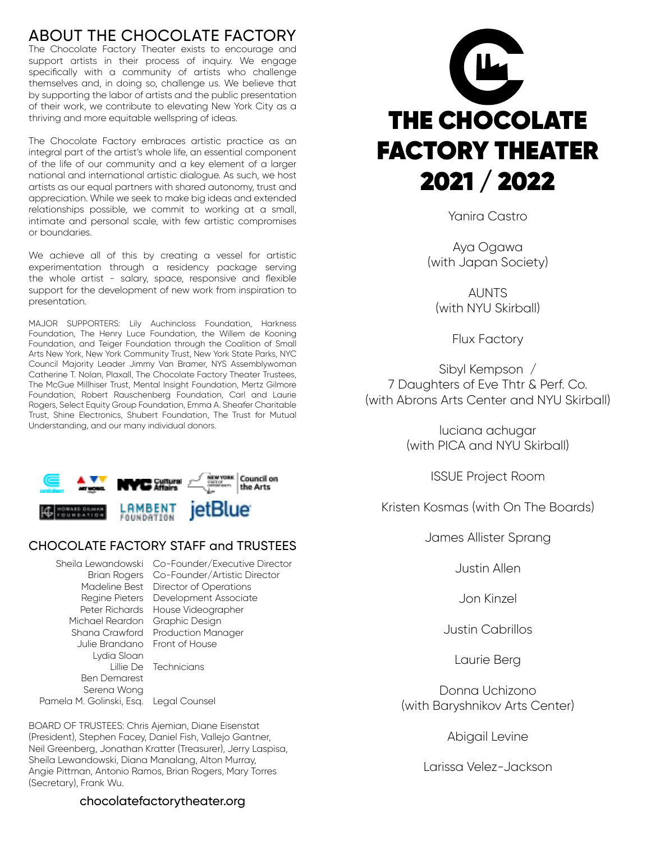# ABOUT THE CHOCOLATE FACTORY

The Chocolate Factory Theater exists to encourage and support artists in their process of inquiry. We engage specifically with a community of artists who challenge themselves and, in doing so, challenge us. We believe that by supporting the labor of artists and the public presentation of their work, we contribute to elevating New York City as a thriving and more equitable wellspring of ideas.

The Chocolate Factory embraces artistic practice as an integral part of the artist's whole life, an essential component of the life of our community and a key element of a larger national and international artistic dialogue. As such, we host artists as our equal partners with shared autonomy, trust and appreciation. While we seek to make big ideas and extended relationships possible, we commit to working at a small, intimate and personal scale, with few artistic compromises or boundaries.

We achieve all of this by creating a vessel for artistic experimentation through a residency package serving the whole artist - salary, space, responsive and flexible support for the development of new work from inspiration to presentation.

MAJOR SUPPORTERS: Lily Auchincloss Foundation, Harkness Foundation, The Henry Luce Foundation, the Willem de Kooning Foundation, and Teiger Foundation through the Coalition of Small Arts New York, New York Community Trust, New York State Parks, NYC Council Majority Leader Jimmy Van Bramer, NYS Assemblywoman Catherine T. Nolan, Plaxall, The Chocolate Factory Theater Trustees, The McGue Millhiser Trust, Mental Insight Foundation, Mertz Gilmore Foundation, Robert Rauschenberg Foundation, Carl and Laurie Rogers, Select Equity Group Foundation, Emma A. Sheafer Charitable Trust, Shine Electronics, Shubert Foundation, The Trust for Mutual Understanding, and our many individual donors.



## CHOCOLATE FACTORY STAFF and TRUSTEES

Michael Reardon Graphic Design Julie Brandano Front of House Lydia Sloan Ben Demarest Serena Wong

Sheila Lewandowski Co-Founder/Executive Director Brian Rogers Co-Founder/Artistic Director Madeline Best Director of Operations Regine Pieters Development Associate Peter Richards House Videographer Shana Crawford Production Manager Lillie De Technicians

Pamela M. Golinski, Esq. Legal Counsel

BOARD OF TRUSTEES: Chris Ajemian, Diane Eisenstat (President), Stephen Facey, Daniel Fish, Vallejo Gantner, Neil Greenberg, Jonathan Kratter (Treasurer), Jerry Laspisa, Sheila Lewandowski, Diana Manalang, Alton Murray, Angie Pittman, Antonio Ramos, Brian Rogers, Mary Torres (Secretary), Frank Wu.



Yanira Castro

Aya Ogawa (with Japan Society)

**AUNTS** (with NYU Skirball)

Flux Factory

Sibyl Kempson / 7 Daughters of Eve Thtr & Perf. Co. (with Abrons Arts Center and NYU Skirball)

> luciana achugar (with PICA and NYU Skirball)

> > ISSUE Project Room

Kristen Kosmas (with On The Boards)

James Allister Sprang

Justin Allen

Jon Kinzel

Justin Cabrillos

Laurie Berg

Donna Uchizono (with Baryshnikov Arts Center)

Abigail Levine

Larissa Velez-Jackson

### chocolatefactorytheater.org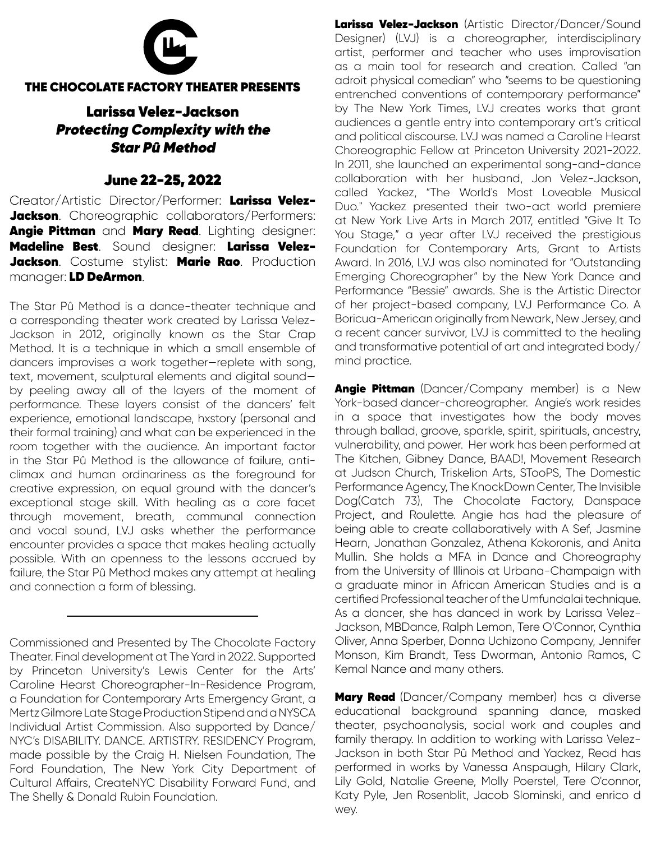

#### THE CHOCOLATE FACTORY THEATER PRESENTS

## Larissa Velez-Jackson Protecting Complexity with the Star Pû Method

## June 22-25, 2022

Creator/Artistic Director/Performer: Larissa Velez-Jackson. Choreographic collaborators/Performers: Angie Pittman and Mary Read. Lighting designer: Madeline Best. Sound designer: Larissa Velez-Jackson. Costume stylist: Marie Rao. Production manager: LD DeArmon.

The Star Pû Method is a dance-theater technique and a corresponding theater work created by Larissa Velez-Jackson in 2012, originally known as the Star Crap Method. It is a technique in which a small ensemble of dancers improvises a work together—replete with song, text, movement, sculptural elements and digital sound by peeling away all of the layers of the moment of performance. These layers consist of the dancers' felt experience, emotional landscape, hxstory (personal and their formal training) and what can be experienced in the room together with the audience. An important factor in the Star Pû Method is the allowance of failure, anticlimax and human ordinariness as the foreground for creative expression, on equal ground with the dancer's exceptional stage skill. With healing as a core facet through movement, breath, communal connection and vocal sound, LVJ asks whether the performance encounter provides a space that makes healing actually possible. With an openness to the lessons accrued by failure, the Star Pû Method makes any attempt at healing and connection a form of blessing.

Commissioned and Presented by The Chocolate Factory Theater. Final development at The Yard in 2022. Supported by Princeton University's Lewis Center for the Arts' Caroline Hearst Choreographer-In-Residence Program, a Foundation for Contemporary Arts Emergency Grant, a Mertz Gilmore Late Stage Production Stipend and a NYSCA Individual Artist Commission. Also supported by Dance/ NYC's DISABILITY. DANCE. ARTISTRY. RESIDENCY Program, made possible by the Craig H. Nielsen Foundation, The Ford Foundation, The New York City Department of Cultural Affairs, CreateNYC Disability Forward Fund, and The Shelly & Donald Rubin Foundation.

Larissa Velez-Jackson (Artistic Director/Dancer/Sound Designer) (LVJ) is a choreographer, interdisciplinary artist, performer and teacher who uses improvisation as a main tool for research and creation. Called "an adroit physical comedian" who "seems to be questioning entrenched conventions of contemporary performance" by The New York Times, LVJ creates works that grant audiences a gentle entry into contemporary art's critical and political discourse. LVJ was named a Caroline Hearst Choreographic Fellow at Princeton University 2021-2022. In 2011, she launched an experimental song-and-dance collaboration with her husband, Jon Velez-Jackson, called Yackez, "The World's Most Loveable Musical Duo." Yackez presented their two-act world premiere at New York Live Arts in March 2017, entitled "Give It To You Stage," a year after LVJ received the prestigious Foundation for Contemporary Arts, Grant to Artists Award. In 2016, LVJ was also nominated for "Outstanding Emerging Choreographer" by the New York Dance and Performance "Bessie" awards. She is the Artistic Director of her project-based company, LVJ Performance Co. A Boricua-American originally from Newark, New Jersey, and a recent cancer survivor, LVJ is committed to the healing and transformative potential of art and integrated body/ mind practice.

Angie Pittman (Dancer/Company member) is a New York-based dancer-choreographer. Angie's work resides in a space that investigates how the body moves through ballad, groove, sparkle, spirit, spirituals, ancestry, vulnerability, and power. Her work has been performed at The Kitchen, Gibney Dance, BAAD!, Movement Research at Judson Church, Triskelion Arts, STooPS, The Domestic Performance Agency, The KnockDown Center, The Invisible Dog(Catch 73), The Chocolate Factory, Danspace Project, and Roulette. Angie has had the pleasure of being able to create collaboratively with A Sef, Jasmine Hearn, Jonathan Gonzalez, Athena Kokoronis, and Anita Mullin. She holds a MFA in Dance and Choreography from the University of Illinois at Urbana-Champaign with a graduate minor in African American Studies and is a certified Professional teacher of the Umfundalai technique. As a dancer, she has danced in work by Larissa Velez-Jackson, MBDance, Ralph Lemon, Tere O'Connor, Cynthia Oliver, Anna Sperber, Donna Uchizono Company, Jennifer Monson, Kim Brandt, Tess Dworman, Antonio Ramos, C Kemal Nance and many others.

**Mary Read** (Dancer/Company member) has a diverse educational background spanning dance, masked theater, psychoanalysis, social work and couples and family therapy. In addition to working with Larissa Velez-Jackson in both Star Pû Method and Yackez, Read has performed in works by Vanessa Anspaugh, Hilary Clark, Lily Gold, Natalie Greene, Molly Poerstel, Tere O'connor, Katy Pyle, Jen Rosenblit, Jacob Slominski, and enrico d wey.